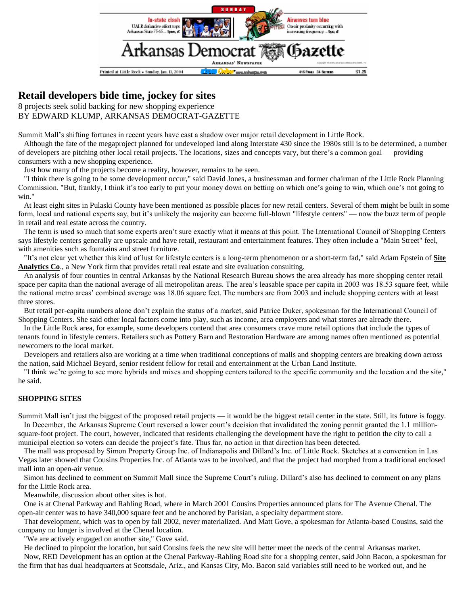

## **Retail developers bide time, jockey for sites**

8 projects seek solid backing for new shopping experience BY EDWARD KLUMP, ARKANSAS DEMOCRAT-GAZETTE

Summit Mall's shifting fortunes in recent years have cast a shadow over major retail development in Little Rock.

 Although the fate of the megaproject planned for undeveloped land along Interstate 430 since the 1980s still is to be determined, a number of developers are pitching other local retail projects. The locations, sizes and concepts vary, but there's a common goal — providing consumers with a new shopping experience.

Just how many of the projects become a reality, however, remains to be seen.

 "I think there is going to be some development occur," said David Jones, a businessman and former chairman of the Little Rock Planning Commission. "But, frankly, I think it's too early to put your money down on betting on which one's going to win, which one's not going to win."

 At least eight sites in Pulaski County have been mentioned as possible places for new retail centers. Several of them might be built in some form, local and national experts say, but it's unlikely the majority can become full-blown "lifestyle centers" — now the buzz term of people in retail and real estate across the country.

 The term is used so much that some experts aren't sure exactly what it means at this point. The International Council of Shopping Centers says lifestyle centers generally are upscale and have retail, restaurant and entertainment features. They often include a "Main Street" feel, with amenities such as fountains and street furniture.

 "It's not clear yet whether this kind of lust for lifestyle centers is a long-term phenomenon or a short-term fad," said Adam Epstein of **Site Analytics Co**., a New York firm that provides retail real estate and site evaluation consulting.

 An analysis of four counties in central Arkansas by the National Research Bureau shows the area already has more shopping center retail space per capita than the national average of all metropolitan areas. The area's leasable space per capita in 2003 was 18.53 square feet, while the national metro areas' combined average was 18.06 square feet. The numbers are from 2003 and include shopping centers with at least three stores.

 But retail per-capita numbers alone don't explain the status of a market, said Patrice Duker, spokesman for the International Council of Shopping Centers. She said other local factors come into play, such as income, area employers and what stores are already there.

 In the Little Rock area, for example, some developers contend that area consumers crave more retail options that include the types of tenants found in lifestyle centers. Retailers such as Pottery Barn and Restoration Hardware are among names often mentioned as potential newcomers to the local market.

 Developers and retailers also are working at a time when traditional conceptions of malls and shopping centers are breaking down across the nation, said Michael Beyard, senior resident fellow for retail and entertainment at the Urban Land Institute.

 "I think we're going to see more hybrids and mixes and shopping centers tailored to the specific community and the location and the site," he said.

## **SHOPPING SITES**

Summit Mall isn't just the biggest of the proposed retail projects — it would be the biggest retail center in the state. Still, its future is foggy. In December, the Arkansas Supreme Court reversed a lower court's decision that invalidated the zoning permit granted the 1.1 millionsquare-foot project. The court, however, indicated that residents challenging the development have the right to petition the city to call a municipal election so voters can decide the project's fate. Thus far, no action in that direction has been detected.

 The mall was proposed by Simon Property Group Inc. of Indianapolis and Dillard's Inc. of Little Rock. Sketches at a convention in Las Vegas later showed that Cousins Properties Inc. of Atlanta was to be involved, and that the project had morphed from a traditional enclosed mall into an open-air venue.

 Simon has declined to comment on Summit Mall since the Supreme Court's ruling. Dillard's also has declined to comment on any plans for the Little Rock area.

Meanwhile, discussion about other sites is hot.

 One is at Chenal Parkway and Rahling Road, where in March 2001 Cousins Properties announced plans for The Avenue Chenal. The open-air center was to have 340,000 square feet and be anchored by Parisian, a specialty department store.

 That development, which was to open by fall 2002, never materialized. And Matt Gove, a spokesman for Atlanta-based Cousins, said the company no longer is involved at the Chenal location.

"We are actively engaged on another site," Gove said.

 He declined to pinpoint the location, but said Cousins feels the new site will better meet the needs of the central Arkansas market. Now, RED Development has an option at the Chenal Parkway-Rahling Road site for a shopping center, said John Bacon, a spokesman for the firm that has dual headquarters at Scottsdale, Ariz., and Kansas City, Mo. Bacon said variables still need to be worked out, and he